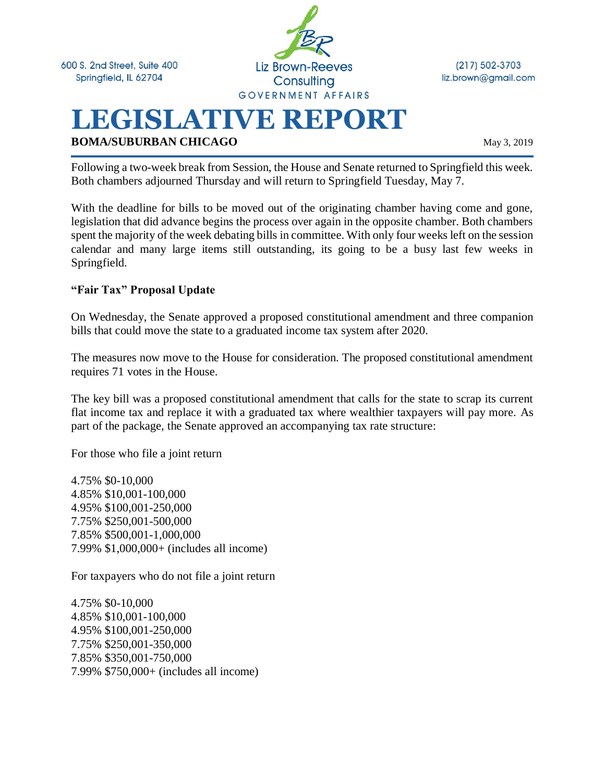600 S. 2nd Street, Suite 400 Springfield, IL 62704



 $(217) 502 - 3703$ liz.brown@gmail.com

# **LEGISLATIVE REPORT BOMA/SUBURBAN CHICAGO** May 3, 2019

Following a two-week break from Session, the House and Senate returned to Springfield this week. Both chambers adjourned Thursday and will return to Springfield Tuesday, May 7.

With the deadline for bills to be moved out of the originating chamber having come and gone, legislation that did advance begins the process over again in the opposite chamber. Both chambers spent the majority of the week debating bills in committee. With only four weeks left on the session calendar and many large items still outstanding, its going to be a busy last few weeks in Springfield.

#### **"Fair Tax" Proposal Update**

On Wednesday, the Senate approved a proposed constitutional amendment and three companion bills that could move the state to a graduated income tax system after 2020.

The measures now move to the House for consideration. The proposed constitutional amendment requires 71 votes in the House.

The key bill was a proposed constitutional amendment that calls for the state to scrap its current flat income tax and replace it with a graduated tax where wealthier taxpayers will pay more. As part of the package, the Senate approved an accompanying tax rate structure:

For those who file a joint return

4.75% \$0-10,000 4.85% \$10,001-100,000 4.95% \$100,001-250,000 7.75% \$250,001-500,000 7.85% \$500,001-1,000,000 7.99% \$1,000,000+ (includes all income)

For taxpayers who do not file a joint return

4.75% \$0-10,000 4.85% \$10,001-100,000 4.95% \$100,001-250,000 7.75% \$250,001-350,000 7.85% \$350,001-750,000 7.99% \$750,000+ (includes all income)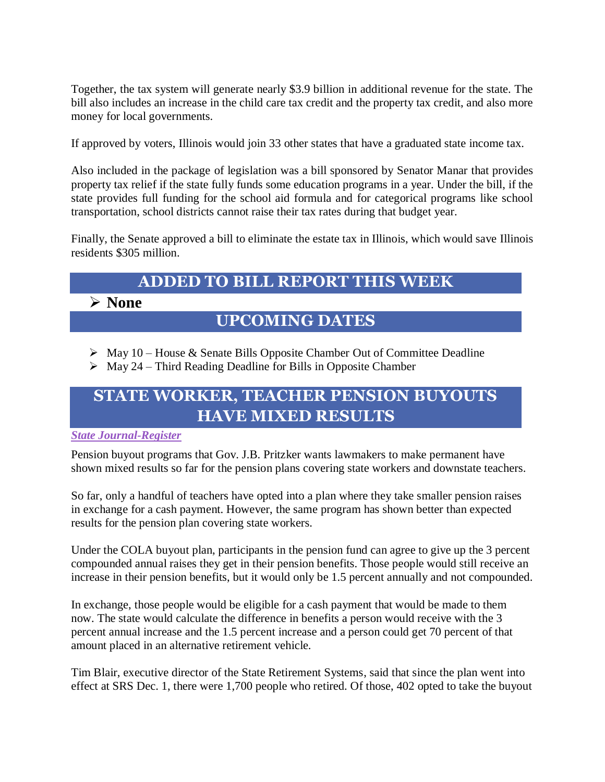Together, the tax system will generate nearly \$3.9 billion in additional revenue for the state. The bill also includes an increase in the child care tax credit and the property tax credit, and also more money for local governments.

If approved by voters, Illinois would join 33 other states that have a graduated state income tax.

Also included in the package of legislation was a bill sponsored by Senator Manar that provides property tax relief if the state fully funds some education programs in a year. Under the bill, if the state provides full funding for the school aid formula and for categorical programs like school transportation, school districts cannot raise their tax rates during that budget year.

Finally, the Senate approved a bill to eliminate the estate tax in Illinois, which would save Illinois residents \$305 million.

## **ADDED TO BILL REPORT THIS WEEK**

### ➢ **None**

### **UPCOMING DATES**

- ➢ May 10 House & Senate Bills Opposite Chamber Out of Committee Deadline
- $\triangleright$  May 24 Third Reading Deadline for Bills in Opposite Chamber

### **STATE WORKER, TEACHER PENSION BUYOUTS HAVE MIXED RESULTS**

#### *[State Journal-Register](https://www.sj-r.com/news/20190502/state-worker-teacher-pension-buyouts-have-mixed-results)*

Pension buyout programs that Gov. J.B. Pritzker wants lawmakers to make permanent have shown mixed results so far for the pension plans covering state workers and downstate teachers.

So far, only a handful of teachers have opted into a plan where they take smaller pension raises in exchange for a cash payment. However, the same program has shown better than expected results for the pension plan covering state workers.

Under the COLA buyout plan, participants in the pension fund can agree to give up the 3 percent compounded annual raises they get in their pension benefits. Those people would still receive an increase in their pension benefits, but it would only be 1.5 percent annually and not compounded.

In exchange, those people would be eligible for a cash payment that would be made to them now. The state would calculate the difference in benefits a person would receive with the 3 percent annual increase and the 1.5 percent increase and a person could get 70 percent of that amount placed in an alternative retirement vehicle.

Tim Blair, executive director of the State Retirement Systems, said that since the plan went into effect at SRS Dec. 1, there were 1,700 people who retired. Of those, 402 opted to take the buyout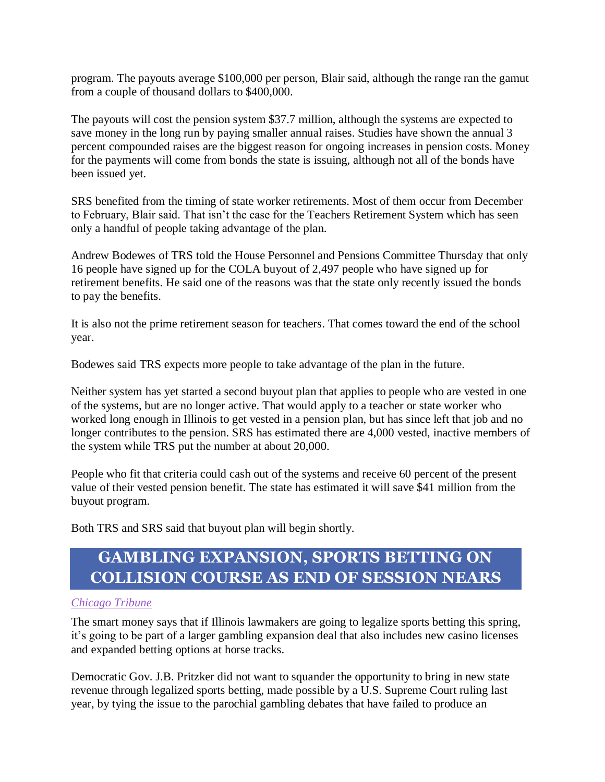program. The payouts average \$100,000 per person, Blair said, although the range ran the gamut from a couple of thousand dollars to \$400,000.

The payouts will cost the pension system \$37.7 million, although the systems are expected to save money in the long run by paying smaller annual raises. Studies have shown the annual 3 percent compounded raises are the biggest reason for ongoing increases in pension costs. Money for the payments will come from bonds the state is issuing, although not all of the bonds have been issued yet.

SRS benefited from the timing of state worker retirements. Most of them occur from December to February, Blair said. That isn't the case for the Teachers Retirement System which has seen only a handful of people taking advantage of the plan.

Andrew Bodewes of TRS told the House Personnel and Pensions Committee Thursday that only 16 people have signed up for the COLA buyout of 2,497 people who have signed up for retirement benefits. He said one of the reasons was that the state only recently issued the bonds to pay the benefits.

It is also not the prime retirement season for teachers. That comes toward the end of the school year.

Bodewes said TRS expects more people to take advantage of the plan in the future.

Neither system has yet started a second buyout plan that applies to people who are vested in one of the systems, but are no longer active. That would apply to a teacher or state worker who worked long enough in Illinois to get vested in a pension plan, but has since left that job and no longer contributes to the pension. SRS has estimated there are 4,000 vested, inactive members of the system while TRS put the number at about 20,000.

People who fit that criteria could cash out of the systems and receive 60 percent of the present value of their vested pension benefit. The state has estimated it will save \$41 million from the buyout program.

Both TRS and SRS said that buyout plan will begin shortly.

## **GAMBLING EXPANSION, SPORTS BETTING ON COLLISION COURSE AS END OF SESSION NEARS**

#### *[Chicago Tribune](https://www.chicagotribune.com/news/local/politics/ct-met-illinois-sports-betting-gambling-20190502-story.html)*

The smart money says that if Illinois lawmakers are going to legalize sports betting this spring, it's going to be part of a larger gambling expansion deal that also includes new casino licenses and expanded betting options at horse tracks.

Democratic Gov. J.B. Pritzker did not want to squander the opportunity to bring in new state revenue through legalized sports betting, made possible by a U.S. Supreme Court ruling last year, by tying the issue to the parochial gambling debates that have failed to produce an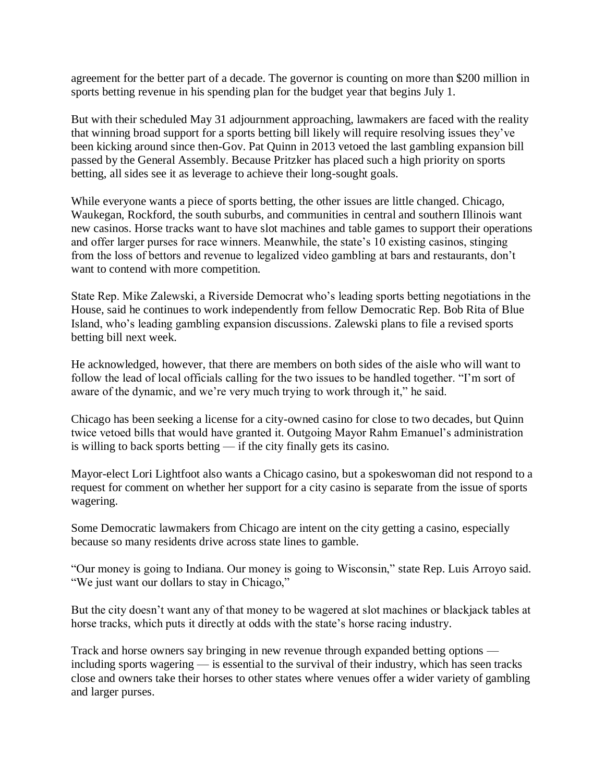agreement for the better part of a decade. The governor is counting on more than \$200 million in sports betting revenue in his spending plan for the budget year that begins July 1.

But with their scheduled May 31 adjournment approaching, lawmakers are faced with the reality that winning broad support for a sports betting bill likely will require resolving issues they've been kicking around since then-Gov. Pat Quinn in 2013 vetoed the last gambling expansion bill passed by the General Assembly. Because Pritzker has placed such a high priority on sports betting, all sides see it as leverage to achieve their long-sought goals.

While everyone wants a piece of sports betting, the other issues are little changed. Chicago, Waukegan, Rockford, the south suburbs, and communities in central and southern Illinois want new casinos. Horse tracks want to have slot machines and table games to support their operations and offer larger purses for race winners. Meanwhile, the state's 10 existing casinos, stinging from the loss of bettors and revenue to legalized video gambling at bars and restaurants, don't want to contend with more competition.

State Rep. Mike Zalewski, a Riverside Democrat who's leading sports betting negotiations in the House, said he continues to work independently from fellow Democratic Rep. Bob Rita of Blue Island, who's leading gambling expansion discussions. Zalewski plans to file a revised sports betting bill next week.

He acknowledged, however, that there are members on both sides of the aisle who will want to follow the lead of local officials calling for the two issues to be handled together. "I'm sort of aware of the dynamic, and we're very much trying to work through it," he said.

Chicago has been seeking a license for a city-owned casino for close to two decades, but Quinn twice vetoed bills that would have granted it. Outgoing Mayor Rahm Emanuel's administration is willing to back sports betting — if the city finally gets its casino.

Mayor-elect Lori Lightfoot also wants a Chicago casino, but a spokeswoman did not respond to a request for comment on whether her support for a city casino is separate from the issue of sports wagering.

Some Democratic lawmakers from Chicago are intent on the city getting a casino, especially because so many residents drive across state lines to gamble.

"Our money is going to Indiana. Our money is going to Wisconsin," state Rep. Luis Arroyo said. "We just want our dollars to stay in Chicago,"

But the city doesn't want any of that money to be wagered at slot machines or blackjack tables at horse tracks, which puts it directly at odds with the state's horse racing industry.

Track and horse owners say bringing in new revenue through expanded betting options including sports wagering — is essential to the survival of their industry, which has seen tracks close and owners take their horses to other states where venues offer a wider variety of gambling and larger purses.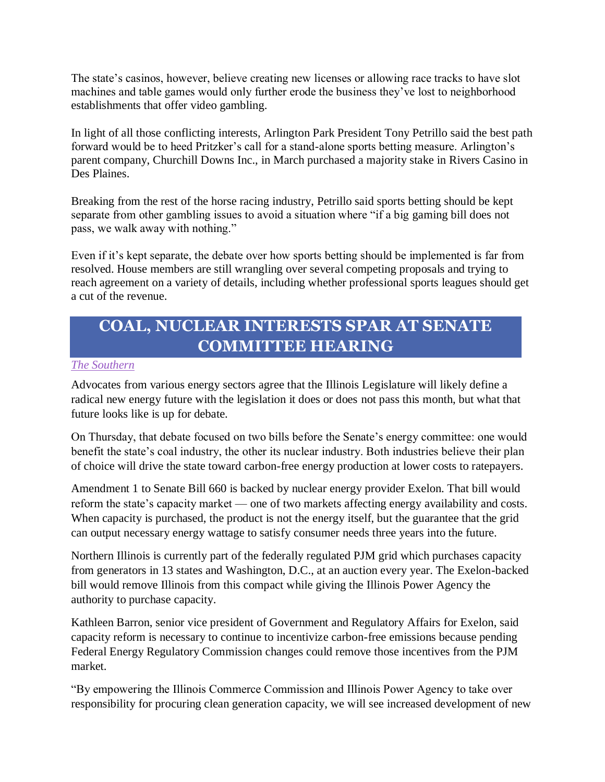The state's casinos, however, believe creating new licenses or allowing race tracks to have slot machines and table games would only further erode the business they've lost to neighborhood establishments that offer video gambling.

In light of all those conflicting interests, Arlington Park President Tony Petrillo said the best path forward would be to heed Pritzker's call for a stand-alone sports betting measure. Arlington's parent company, Churchill Downs Inc., in March purchased a majority stake in Rivers Casino in Des Plaines.

Breaking from the rest of the horse racing industry, Petrillo said sports betting should be kept separate from other gambling issues to avoid a situation where "if a big gaming bill does not pass, we walk away with nothing."

Even if it's kept separate, the debate over how sports betting should be implemented is far from resolved. House members are still wrangling over several competing proposals and trying to reach agreement on a variety of details, including whether professional sports leagues should get a cut of the revenue.

## **COAL, NUCLEAR INTERESTS SPAR AT SENATE COMMITTEE HEARING**

#### *[The Southern](https://thesouthern.com/news/local/govt-and-politics/coal-nuclear-interests-spar-at-senate-committee-hearing/article_3c3de0d7-538d-5a5b-b44d-4d16b4ca6049.html)*

Advocates from various energy sectors agree that the Illinois Legislature will likely define a radical new energy future with the legislation it does or does not pass this month, but what that future looks like is up for debate.

On Thursday, that debate focused on two bills before the Senate's energy committee: one would benefit the state's coal industry, the other its nuclear industry. Both industries believe their plan of choice will drive the state toward carbon-free energy production at lower costs to ratepayers.

Amendment 1 to Senate Bill 660 is backed by nuclear energy provider Exelon. That bill would reform the state's capacity market — one of two markets affecting energy availability and costs. When capacity is purchased, the product is not the energy itself, but the guarantee that the grid can output necessary energy wattage to satisfy consumer needs three years into the future.

Northern Illinois is currently part of the federally regulated PJM grid which purchases capacity from generators in 13 states and Washington, D.C., at an auction every year. The Exelon-backed bill would remove Illinois from this compact while giving the Illinois Power Agency the authority to purchase capacity.

Kathleen Barron, senior vice president of Government and Regulatory Affairs for Exelon, said capacity reform is necessary to continue to incentivize carbon-free emissions because pending Federal Energy Regulatory Commission changes could remove those incentives from the PJM market.

"By empowering the Illinois Commerce Commission and Illinois Power Agency to take over responsibility for procuring clean generation capacity, we will see increased development of new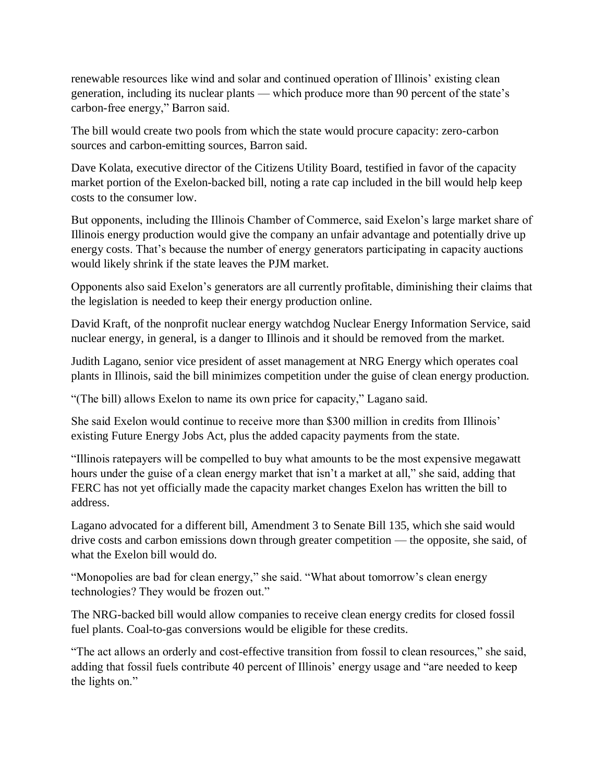renewable resources like wind and solar and continued operation of Illinois' existing clean generation, including its nuclear plants — which produce more than 90 percent of the state's carbon-free energy," Barron said.

The bill would create two pools from which the state would procure capacity: zero-carbon sources and carbon-emitting sources, Barron said.

Dave Kolata, executive director of the Citizens Utility Board, testified in favor of the capacity market portion of the Exelon-backed bill, noting a rate cap included in the bill would help keep costs to the consumer low.

But opponents, including the Illinois Chamber of Commerce, said Exelon's large market share of Illinois energy production would give the company an unfair advantage and potentially drive up energy costs. That's because the number of energy generators participating in capacity auctions would likely shrink if the state leaves the PJM market.

Opponents also said Exelon's generators are all currently profitable, diminishing their claims that the legislation is needed to keep their energy production online.

David Kraft, of the nonprofit nuclear energy watchdog Nuclear Energy Information Service, said nuclear energy, in general, is a danger to Illinois and it should be removed from the market.

Judith Lagano, senior vice president of asset management at NRG Energy which operates coal plants in Illinois, said the bill minimizes competition under the guise of clean energy production.

"(The bill) allows Exelon to name its own price for capacity," Lagano said.

She said Exelon would continue to receive more than \$300 million in credits from Illinois' existing Future Energy Jobs Act, plus the added capacity payments from the state.

"Illinois ratepayers will be compelled to buy what amounts to be the most expensive megawatt hours under the guise of a clean energy market that isn't a market at all," she said, adding that FERC has not yet officially made the capacity market changes Exelon has written the bill to address.

Lagano advocated for a different bill, Amendment 3 to Senate Bill 135, which she said would drive costs and carbon emissions down through greater competition — the opposite, she said, of what the Exelon bill would do.

"Monopolies are bad for clean energy," she said. "What about tomorrow's clean energy technologies? They would be frozen out."

The NRG-backed bill would allow companies to receive clean energy credits for closed fossil fuel plants. Coal-to-gas conversions would be eligible for these credits.

"The act allows an orderly and cost-effective transition from fossil to clean resources," she said, adding that fossil fuels contribute 40 percent of Illinois' energy usage and "are needed to keep the lights on."